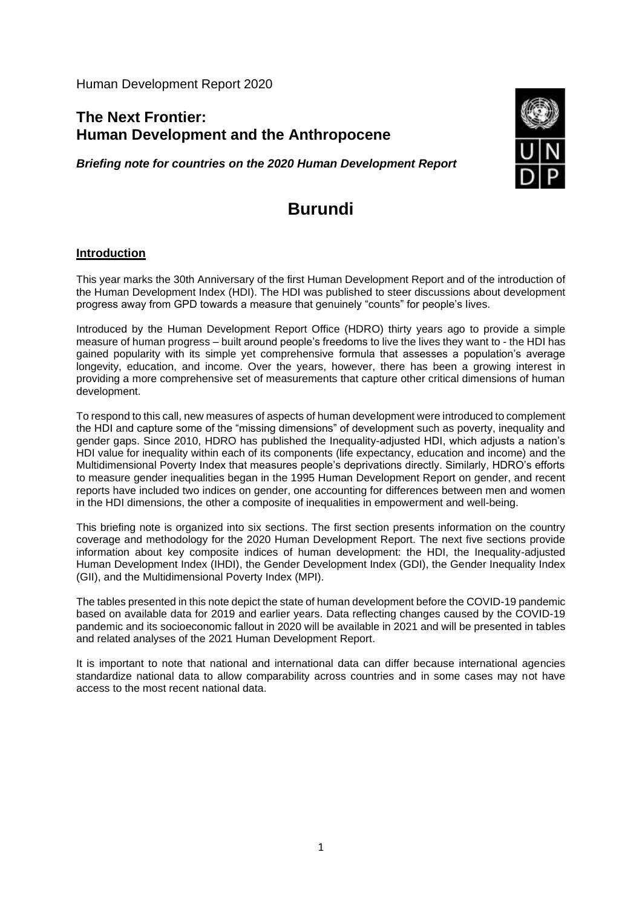Human Development Report 2020

## **The Next Frontier: Human Development and the Anthropocene**

*Briefing note for countries on the 2020 Human Development Report*



# **Burundi**

### **Introduction**

This year marks the 30th Anniversary of the first Human Development Report and of the introduction of the Human Development Index (HDI). The HDI was published to steer discussions about development progress away from GPD towards a measure that genuinely "counts" for people's lives.

Introduced by the Human Development Report Office (HDRO) thirty years ago to provide a simple measure of human progress – built around people's freedoms to live the lives they want to - the HDI has gained popularity with its simple yet comprehensive formula that assesses a population's average longevity, education, and income. Over the years, however, there has been a growing interest in providing a more comprehensive set of measurements that capture other critical dimensions of human development.

To respond to this call, new measures of aspects of human development were introduced to complement the HDI and capture some of the "missing dimensions" of development such as poverty, inequality and gender gaps. Since 2010, HDRO has published the Inequality-adjusted HDI, which adjusts a nation's HDI value for inequality within each of its components (life expectancy, education and income) and the Multidimensional Poverty Index that measures people's deprivations directly. Similarly, HDRO's efforts to measure gender inequalities began in the 1995 Human Development Report on gender, and recent reports have included two indices on gender, one accounting for differences between men and women in the HDI dimensions, the other a composite of inequalities in empowerment and well-being.

This briefing note is organized into six sections. The first section presents information on the country coverage and methodology for the 2020 Human Development Report. The next five sections provide information about key composite indices of human development: the HDI, the Inequality-adjusted Human Development Index (IHDI), the Gender Development Index (GDI), the Gender Inequality Index (GII), and the Multidimensional Poverty Index (MPI).

The tables presented in this note depict the state of human development before the COVID-19 pandemic based on available data for 2019 and earlier years. Data reflecting changes caused by the COVID-19 pandemic and its socioeconomic fallout in 2020 will be available in 2021 and will be presented in tables and related analyses of the 2021 Human Development Report.

It is important to note that national and international data can differ because international agencies standardize national data to allow comparability across countries and in some cases may not have access to the most recent national data.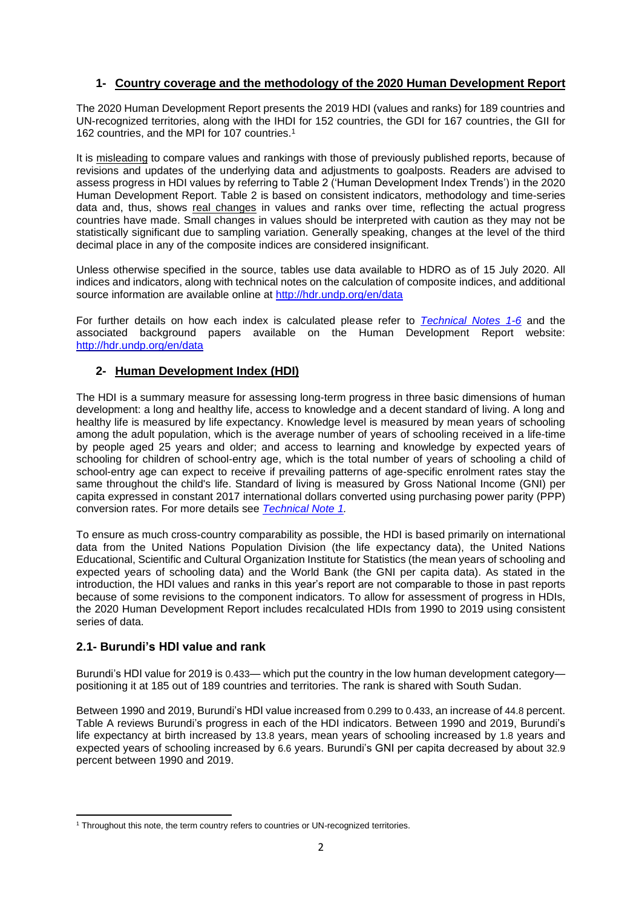## **1- Country coverage and the methodology of the 2020 Human Development Report**

The 2020 Human Development Report presents the 2019 HDI (values and ranks) for 189 countries and UN-recognized territories, along with the IHDI for 152 countries, the GDI for 167 countries, the GII for 162 countries, and the MPI for 107 countries.<sup>1</sup>

It is misleading to compare values and rankings with those of previously published reports, because of revisions and updates of the underlying data and adjustments to goalposts. Readers are advised to assess progress in HDI values by referring to Table 2 ('Human Development Index Trends') in the 2020 Human Development Report. Table 2 is based on consistent indicators, methodology and time-series data and, thus, shows real changes in values and ranks over time, reflecting the actual progress countries have made. Small changes in values should be interpreted with caution as they may not be statistically significant due to sampling variation. Generally speaking, changes at the level of the third decimal place in any of the composite indices are considered insignificant.

Unless otherwise specified in the source, tables use data available to HDRO as of 15 July 2020. All indices and indicators, along with technical notes on the calculation of composite indices, and additional source information are available online at<http://hdr.undp.org/en/data>

For further details on how each index is calculated please refer to *[Technical Notes 1-6](http://hdr.undp.org/sites/default/files/hdr2020_technical_notes.pdf)* and the associated background papers available on the Human Development Report website: <http://hdr.undp.org/en/data>

#### **2- Human Development Index (HDI)**

The HDI is a summary measure for assessing long-term progress in three basic dimensions of human development: a long and healthy life, access to knowledge and a decent standard of living. A long and healthy life is measured by life expectancy. Knowledge level is measured by mean years of schooling among the adult population, which is the average number of years of schooling received in a life-time by people aged 25 years and older; and access to learning and knowledge by expected years of schooling for children of school-entry age, which is the total number of years of schooling a child of school-entry age can expect to receive if prevailing patterns of age-specific enrolment rates stay the same throughout the child's life. Standard of living is measured by Gross National Income (GNI) per capita expressed in constant 2017 international dollars converted using purchasing power parity (PPP) conversion rates. For more details see *[Technical Note 1.](http://hdr.undp.org/sites/default/files/hdr2020_technical_notes.pdf)*

To ensure as much cross-country comparability as possible, the HDI is based primarily on international data from the United Nations Population Division (the life expectancy data), the United Nations Educational, Scientific and Cultural Organization Institute for Statistics (the mean years of schooling and expected years of schooling data) and the World Bank (the GNI per capita data). As stated in the introduction, the HDI values and ranks in this year's report are not comparable to those in past reports because of some revisions to the component indicators. To allow for assessment of progress in HDIs, the 2020 Human Development Report includes recalculated HDIs from 1990 to 2019 using consistent series of data.

#### **2.1- Burundi's HDI value and rank**

Burundi's HDI value for 2019 is 0.433— which put the country in the low human development category positioning it at 185 out of 189 countries and territories. The rank is shared with South Sudan.

Between 1990 and 2019, Burundi's HDI value increased from 0.299 to 0.433, an increase of 44.8 percent. Table A reviews Burundi's progress in each of the HDI indicators. Between 1990 and 2019, Burundi's life expectancy at birth increased by 13.8 years, mean years of schooling increased by 1.8 years and expected years of schooling increased by 6.6 years. Burundi's GNI per capita decreased by about 32.9 percent between 1990 and 2019.

<sup>&</sup>lt;sup>1</sup> Throughout this note, the term country refers to countries or UN-recognized territories.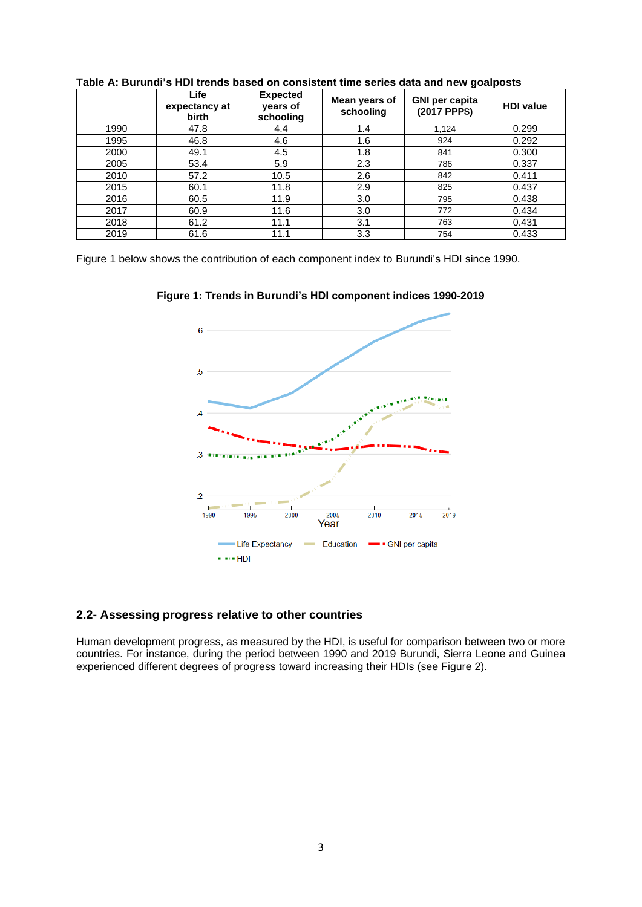|      | Life<br>expectancy at<br>birth | <b>Expected</b><br>years of<br>schooling | Mean years of<br>schooling | <b>GNI per capita</b><br>(2017 PPP\$) | <b>HDI</b> value |
|------|--------------------------------|------------------------------------------|----------------------------|---------------------------------------|------------------|
| 1990 | 47.8                           | 4.4                                      | 1.4                        | 1,124                                 | 0.299            |
| 1995 | 46.8                           | 4.6                                      | 1.6                        | 924                                   | 0.292            |
| 2000 | 49.1                           | 4.5                                      | 1.8                        | 841                                   | 0.300            |
| 2005 | 53.4                           | 5.9                                      | 2.3                        | 786                                   | 0.337            |
| 2010 | 57.2                           | 10.5                                     | 2.6                        | 842                                   | 0.411            |
| 2015 | 60.1                           | 11.8                                     | 2.9                        | 825                                   | 0.437            |
| 2016 | 60.5                           | 11.9                                     | 3.0                        | 795                                   | 0.438            |
| 2017 | 60.9                           | 11.6                                     | 3.0                        | 772                                   | 0.434            |
| 2018 | 61.2                           | 11.1                                     | 3.1                        | 763                                   | 0.431            |
| 2019 | 61.6                           | 11.1                                     | 3.3                        | 754                                   | 0.433            |

**Table A: Burundi's HDI trends based on consistent time series data and new goalposts**

Figure 1 below shows the contribution of each component index to Burundi's HDI since 1990.



**Figure 1: Trends in Burundi's HDI component indices 1990-2019**

## **2.2- Assessing progress relative to other countries**

Human development progress, as measured by the HDI, is useful for comparison between two or more countries. For instance, during the period between 1990 and 2019 Burundi, Sierra Leone and Guinea experienced different degrees of progress toward increasing their HDIs (see Figure 2).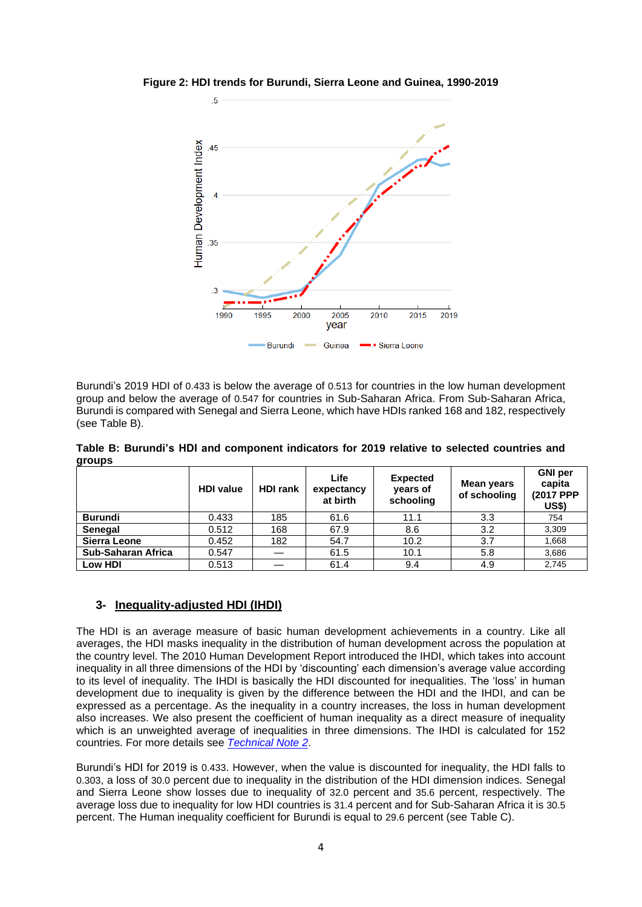

**Figure 2: HDI trends for Burundi, Sierra Leone and Guinea, 1990-2019**

Burundi's 2019 HDI of 0.433 is below the average of 0.513 for countries in the low human development group and below the average of 0.547 for countries in Sub-Saharan Africa. From Sub-Saharan Africa, Burundi is compared with Senegal and Sierra Leone, which have HDIs ranked 168 and 182, respectively (see Table B).

**Table B: Burundi's HDI and component indicators for 2019 relative to selected countries and groups**

|                           | <b>HDI</b> value | <b>HDI rank</b> | Life<br>expectancy<br>at birth | <b>Expected</b><br>years of<br>schooling | <b>Mean years</b><br>of schooling | <b>GNI</b> per<br>capita<br>(2017 PPP)<br>US\$) |
|---------------------------|------------------|-----------------|--------------------------------|------------------------------------------|-----------------------------------|-------------------------------------------------|
| <b>Burundi</b>            | 0.433            | 185             | 61.6                           | 11.1                                     | 3.3                               | 754                                             |
| <b>Senegal</b>            | 0.512            | 168             | 67.9                           | 8.6                                      | 3.2                               | 3,309                                           |
| Sierra Leone              | 0.452            | 182             | 54.7                           | 10.2                                     | 3.7                               | 1.668                                           |
| <b>Sub-Saharan Africa</b> | 0.547            |                 | 61.5                           | 10.1                                     | 5.8                               | 3,686                                           |
| Low HDI                   | 0.513            |                 | 61.4                           | 9.4                                      | 4.9                               | 2,745                                           |

### **3- Inequality-adjusted HDI (IHDI)**

The HDI is an average measure of basic human development achievements in a country. Like all averages, the HDI masks inequality in the distribution of human development across the population at the country level. The 2010 Human Development Report introduced the IHDI, which takes into account inequality in all three dimensions of the HDI by 'discounting' each dimension's average value according to its level of inequality. The IHDI is basically the HDI discounted for inequalities. The 'loss' in human development due to inequality is given by the difference between the HDI and the IHDI, and can be expressed as a percentage. As the inequality in a country increases, the loss in human development also increases. We also present the coefficient of human inequality as a direct measure of inequality which is an unweighted average of inequalities in three dimensions. The IHDI is calculated for 152 countries. For more details see *[Technical Note 2](http://hdr.undp.org/sites/default/files/hdr2020_technical_notes.pdf)*.

Burundi's HDI for 2019 is 0.433. However, when the value is discounted for inequality, the HDI falls to 0.303, a loss of 30.0 percent due to inequality in the distribution of the HDI dimension indices. Senegal and Sierra Leone show losses due to inequality of 32.0 percent and 35.6 percent, respectively. The average loss due to inequality for low HDI countries is 31.4 percent and for Sub-Saharan Africa it is 30.5 percent. The Human inequality coefficient for Burundi is equal to 29.6 percent (see Table C).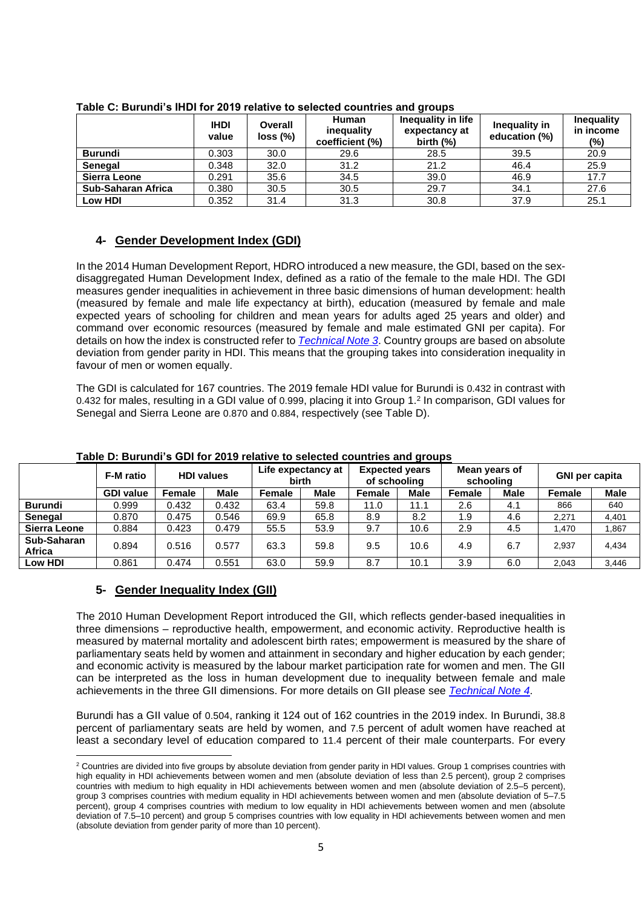|                    | <b>IHDI</b><br>value | Overall<br>loss (%) | <b>Human</b><br>inequality<br>coefficient (%) | Inequality in life<br>expectancy at<br>birth $(\%)$ | Inequality in<br>education (%) | <b>Inequality</b><br>in income<br>(%) |
|--------------------|----------------------|---------------------|-----------------------------------------------|-----------------------------------------------------|--------------------------------|---------------------------------------|
| <b>Burundi</b>     | 0.303                | 30.0                | 29.6                                          | 28.5                                                | 39.5                           | 20.9                                  |
| <b>Senegal</b>     | 0.348                | 32.0                | 31.2                                          | 21.2                                                | 46.4                           | 25.9                                  |
| Sierra Leone       | 0.291                | 35.6                | 34.5                                          | 39.0                                                | 46.9                           | 17.7                                  |
| Sub-Saharan Africa | 0.380                | 30.5                | 30.5                                          | 29.7                                                | 34.1                           | 27.6                                  |
| Low HDI            | 0.352                | 31.4                | 31.3                                          | 30.8                                                | 37.9                           | 25.1                                  |

#### **Table C: Burundi's IHDI for 2019 relative to selected countries and groups**

### **4- Gender Development Index (GDI)**

In the 2014 Human Development Report, HDRO introduced a new measure, the GDI, based on the sexdisaggregated Human Development Index, defined as a ratio of the female to the male HDI. The GDI measures gender inequalities in achievement in three basic dimensions of human development: health (measured by female and male life expectancy at birth), education (measured by female and male expected years of schooling for children and mean years for adults aged 25 years and older) and command over economic resources (measured by female and male estimated GNI per capita). For details on how the index is constructed refer to *[Technical Note 3](http://hdr.undp.org/sites/default/files/hdr2020_technical_notes.pdf)*. Country groups are based on absolute deviation from gender parity in HDI. This means that the grouping takes into consideration inequality in favour of men or women equally.

The GDI is calculated for 167 countries. The 2019 female HDI value for Burundi is 0.432 in contrast with 0.432 for males, resulting in a GDI value of 0.999, placing it into Group 1. 2 In comparison, GDI values for Senegal and Sierra Leone are 0.870 and 0.884, respectively (see Table D).

|                       | <b>F-M</b> ratio | <b>HDI values</b> |             | Life expectancy at<br><b>birth</b> |             | <b>Expected years</b><br>of schooling |             | Mean years of<br>schooling |             | <b>GNI per capita</b> |             |
|-----------------------|------------------|-------------------|-------------|------------------------------------|-------------|---------------------------------------|-------------|----------------------------|-------------|-----------------------|-------------|
|                       | <b>GDI value</b> | <b>Female</b>     | <b>Male</b> | <b>Female</b>                      | <b>Male</b> | Female                                | <b>Male</b> | <b>Female</b>              | <b>Male</b> | <b>Female</b>         | <b>Male</b> |
| <b>Burundi</b>        | 0.999            | 0.432             | 0.432       | 63.4                               | 59.8        | 11.0                                  | 11.1        | 2.6                        | 4.1         | 866                   | 640         |
| <b>Senegal</b>        | 0.870            | 0.475             | 0.546       | 69.9                               | 65.8        | 8.9                                   | 8.2         | 1.9                        | 4.6         | 2,271                 | 4,401       |
| Sierra Leone          | 0.884            | 0.423             | 0.479       | 55.5                               | 53.9        | 9.7                                   | 10.6        | 2.9                        | 4.5         | 1.470                 | 1,867       |
| Sub-Saharan<br>Africa | 0.894            | 0.516             | 0.577       | 63.3                               | 59.8        | 9.5                                   | 10.6        | 4.9                        | 6.7         | 2.937                 | 4,434       |
| Low HDI               | 0.861            | 0.474             | 0.551       | 63.0                               | 59.9        | 8.7                                   | 10.1        | 3.9                        | 6.0         | 2.043                 | 3,446       |

#### **Table D: Burundi's GDI for 2019 relative to selected countries and groups**

#### **5- Gender Inequality Index (GII)**

The 2010 Human Development Report introduced the GII, which reflects gender-based inequalities in three dimensions – reproductive health, empowerment, and economic activity. Reproductive health is measured by maternal mortality and adolescent birth rates; empowerment is measured by the share of parliamentary seats held by women and attainment in secondary and higher education by each gender; and economic activity is measured by the labour market participation rate for women and men. The GII can be interpreted as the loss in human development due to inequality between female and male achievements in the three GII dimensions. For more details on GII please see *[Technical Note](http://hdr.undp.org/sites/default/files/hdr2020_technical_notes.pdf) 4*.

Burundi has a GII value of 0.504, ranking it 124 out of 162 countries in the 2019 index. In Burundi, 38.8 percent of parliamentary seats are held by women, and 7.5 percent of adult women have reached at least a secondary level of education compared to 11.4 percent of their male counterparts. For every

<sup>&</sup>lt;sup>2</sup> Countries are divided into five groups by absolute deviation from gender parity in HDI values. Group 1 comprises countries with high equality in HDI achievements between women and men (absolute deviation of less than 2.5 percent), group 2 comprises countries with medium to high equality in HDI achievements between women and men (absolute deviation of 2.5–5 percent), group 3 comprises countries with medium equality in HDI achievements between women and men (absolute deviation of 5–7.5 percent), group 4 comprises countries with medium to low equality in HDI achievements between women and men (absolute deviation of 7.5–10 percent) and group 5 comprises countries with low equality in HDI achievements between women and men (absolute deviation from gender parity of more than 10 percent).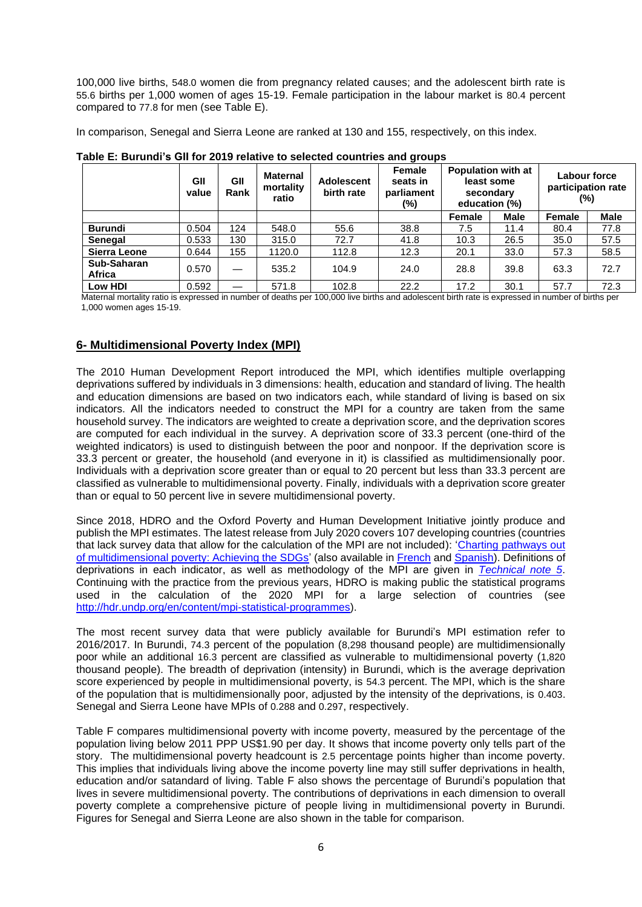100,000 live births, 548.0 women die from pregnancy related causes; and the adolescent birth rate is 55.6 births per 1,000 women of ages 15-19. Female participation in the labour market is 80.4 percent compared to 77.8 for men (see Table E).

In comparison, Senegal and Sierra Leone are ranked at 130 and 155, respectively, on this index.

|                       | GII<br>value | GII<br>Rank | <b>Maternal</b><br>mortality<br>ratio | <b>Adolescent</b><br>birth rate | Female<br>seats in<br>parliament<br>(%) | <b>Population with at</b><br>least some<br>secondary<br>education (%) |             | Labour force<br>participation rate<br>(%) |             |
|-----------------------|--------------|-------------|---------------------------------------|---------------------------------|-----------------------------------------|-----------------------------------------------------------------------|-------------|-------------------------------------------|-------------|
|                       |              |             |                                       |                                 |                                         | Female                                                                | <b>Male</b> | Female                                    | <b>Male</b> |
| <b>Burundi</b>        | 0.504        | 124         | 548.0                                 | 55.6                            | 38.8                                    | 7.5                                                                   | 11.4        | 80.4                                      | 77.8        |
| <b>Senegal</b>        | 0.533        | 130         | 315.0                                 | 72.7                            | 41.8                                    | 10.3                                                                  | 26.5        | 35.0                                      | 57.5        |
| Sierra Leone          | 0.644        | 155         | 1120.0                                | 112.8                           | 12.3                                    | 20.1                                                                  | 33.0        | 57.3                                      | 58.5        |
| Sub-Saharan<br>Africa | 0.570        |             | 535.2                                 | 104.9                           | 24.0                                    | 28.8                                                                  | 39.8        | 63.3                                      | 72.7        |
| Low HDI               | 0.592        |             | 571.8                                 | 102.8                           | 22.2                                    | 17.2                                                                  | 30.1        | 57.7                                      | 72.3        |

**Table E: Burundi's GII for 2019 relative to selected countries and groups**

Maternal mortality ratio is expressed in number of deaths per 100,000 live births and adolescent birth rate is expressed in number of births per 1,000 women ages 15-19.

### **6- Multidimensional Poverty Index (MPI)**

The 2010 Human Development Report introduced the MPI, which identifies multiple overlapping deprivations suffered by individuals in 3 dimensions: health, education and standard of living. The health and education dimensions are based on two indicators each, while standard of living is based on six indicators. All the indicators needed to construct the MPI for a country are taken from the same household survey. The indicators are weighted to create a deprivation score, and the deprivation scores are computed for each individual in the survey. A deprivation score of 33.3 percent (one-third of the weighted indicators) is used to distinguish between the poor and nonpoor. If the deprivation score is 33.3 percent or greater, the household (and everyone in it) is classified as multidimensionally poor. Individuals with a deprivation score greater than or equal to 20 percent but less than 33.3 percent are classified as vulnerable to multidimensional poverty. Finally, individuals with a deprivation score greater than or equal to 50 percent live in severe multidimensional poverty.

Since 2018, HDRO and the Oxford Poverty and Human Development Initiative jointly produce and publish the MPI estimates. The latest release from July 2020 covers 107 developing countries (countries that lack survey data that allow for the calculation of the MPI are not included): ['Charting pathways out](http://hdr.undp.org/en/2020-MPI)  [of multidimensional poverty: Achieving the SDGs'](http://hdr.undp.org/en/2020-MPI) (also available in [French](http://hdr.undp.org/sites/default/files/2020_mpi_report_fr_v4.pdf) and [Spanish\)](http://hdr.undp.org/sites/default/files/2020_mpi_report_es_v4.pdf). Definitions of deprivations in each indicator, as well as methodology of the MPI are given in *[Technical note 5](http://hdr.undp.org/sites/default/files/mpi2020_technical_notes.pdf)*. Continuing with the practice from the previous years, HDRO is making public the statistical programs used in the calculation of the 2020 MPI for a large selection of countries (see [http://hdr.undp.org/en/content/mpi-statistical-programmes\)](http://hdr.undp.org/en/content/mpi-statistical-programmes).

The most recent survey data that were publicly available for Burundi's MPI estimation refer to 2016/2017. In Burundi, 74.3 percent of the population (8,298 thousand people) are multidimensionally poor while an additional 16.3 percent are classified as vulnerable to multidimensional poverty (1,820 thousand people). The breadth of deprivation (intensity) in Burundi, which is the average deprivation score experienced by people in multidimensional poverty, is 54.3 percent. The MPI, which is the share of the population that is multidimensionally poor, adjusted by the intensity of the deprivations, is 0.403. Senegal and Sierra Leone have MPIs of 0.288 and 0.297, respectively.

Table F compares multidimensional poverty with income poverty, measured by the percentage of the population living below 2011 PPP US\$1.90 per day. It shows that income poverty only tells part of the story. The multidimensional poverty headcount is 2.5 percentage points higher than income poverty. This implies that individuals living above the income poverty line may still suffer deprivations in health, education and/or satandard of living. Table F also shows the percentage of Burundi's population that lives in severe multidimensional poverty. The contributions of deprivations in each dimension to overall poverty complete a comprehensive picture of people living in multidimensional poverty in Burundi. Figures for Senegal and Sierra Leone are also shown in the table for comparison.